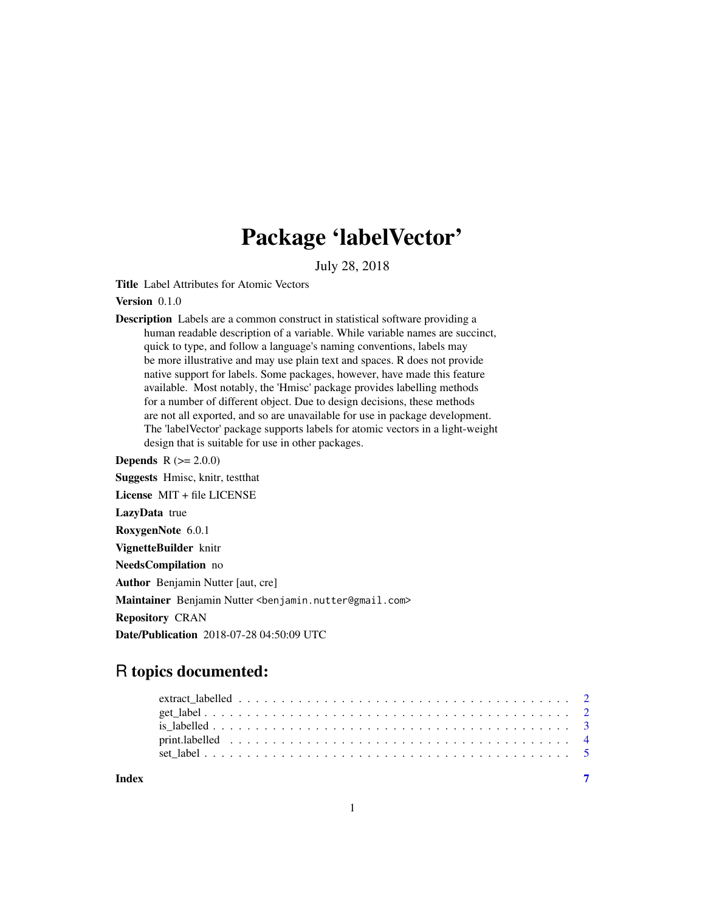## Package 'labelVector'

July 28, 2018

<span id="page-0-0"></span>Title Label Attributes for Atomic Vectors

Version 0.1.0

Description Labels are a common construct in statistical software providing a human readable description of a variable. While variable names are succinct, quick to type, and follow a language's naming conventions, labels may be more illustrative and may use plain text and spaces. R does not provide native support for labels. Some packages, however, have made this feature available. Most notably, the 'Hmisc' package provides labelling methods for a number of different object. Due to design decisions, these methods are not all exported, and so are unavailable for use in package development. The 'labelVector' package supports labels for atomic vectors in a light-weight design that is suitable for use in other packages.

**Depends**  $R (= 2.0.0)$ Suggests Hmisc, knitr, testthat License MIT + file LICENSE

LazyData true

RoxygenNote 6.0.1

VignetteBuilder knitr

NeedsCompilation no

Author Benjamin Nutter [aut, cre]

Maintainer Benjamin Nutter <benjamin.nutter@gmail.com>

Repository CRAN

Date/Publication 2018-07-28 04:50:09 UTC

### R topics documented:

| Index |  |  |  |  |  |  |  |  |  |  |  |  |  |  |  |  |  |  |
|-------|--|--|--|--|--|--|--|--|--|--|--|--|--|--|--|--|--|--|
|       |  |  |  |  |  |  |  |  |  |  |  |  |  |  |  |  |  |  |
|       |  |  |  |  |  |  |  |  |  |  |  |  |  |  |  |  |  |  |
|       |  |  |  |  |  |  |  |  |  |  |  |  |  |  |  |  |  |  |
|       |  |  |  |  |  |  |  |  |  |  |  |  |  |  |  |  |  |  |
|       |  |  |  |  |  |  |  |  |  |  |  |  |  |  |  |  |  |  |

1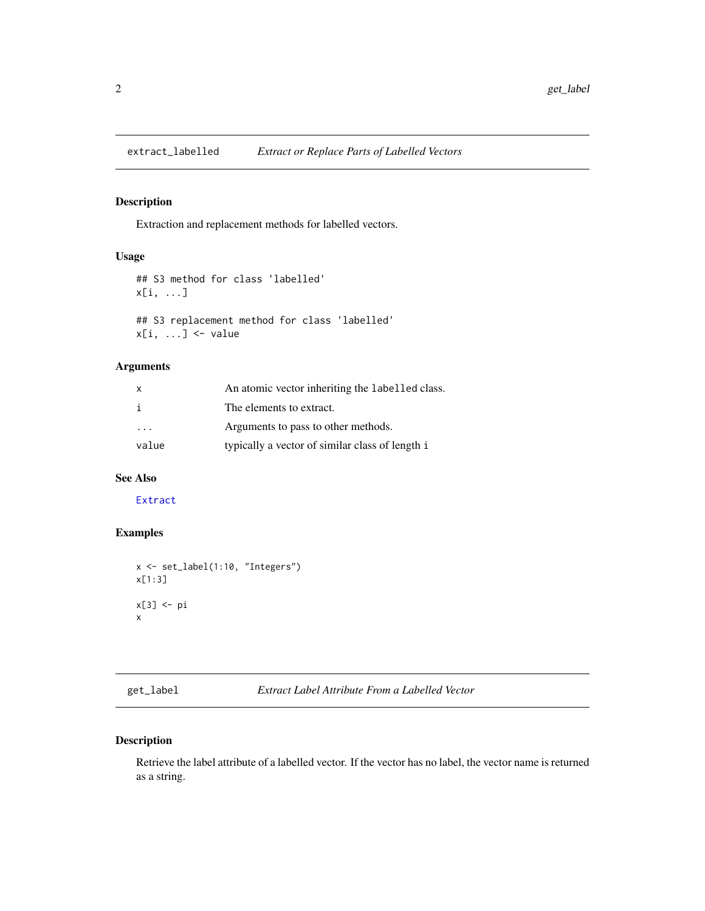<span id="page-1-0"></span>

#### Description

Extraction and replacement methods for labelled vectors.

#### Usage

```
## S3 method for class 'labelled'
x[i, ...]
## S3 replacement method for class 'labelled'
x[i, ...] <- value
```
#### Arguments

| x     | An atomic vector inheriting the labelled class. |
|-------|-------------------------------------------------|
| i     | The elements to extract.                        |
|       | Arguments to pass to other methods.             |
| value | typically a vector of similar class of length i |

#### See Also

[Extract](#page-0-0)

#### Examples

```
x <- set_label(1:10, "Integers")
x[1:3]
x[3] <- pi
x
```
<span id="page-1-1"></span>get\_label *Extract Label Attribute From a Labelled Vector*

#### Description

Retrieve the label attribute of a labelled vector. If the vector has no label, the vector name is returned as a string.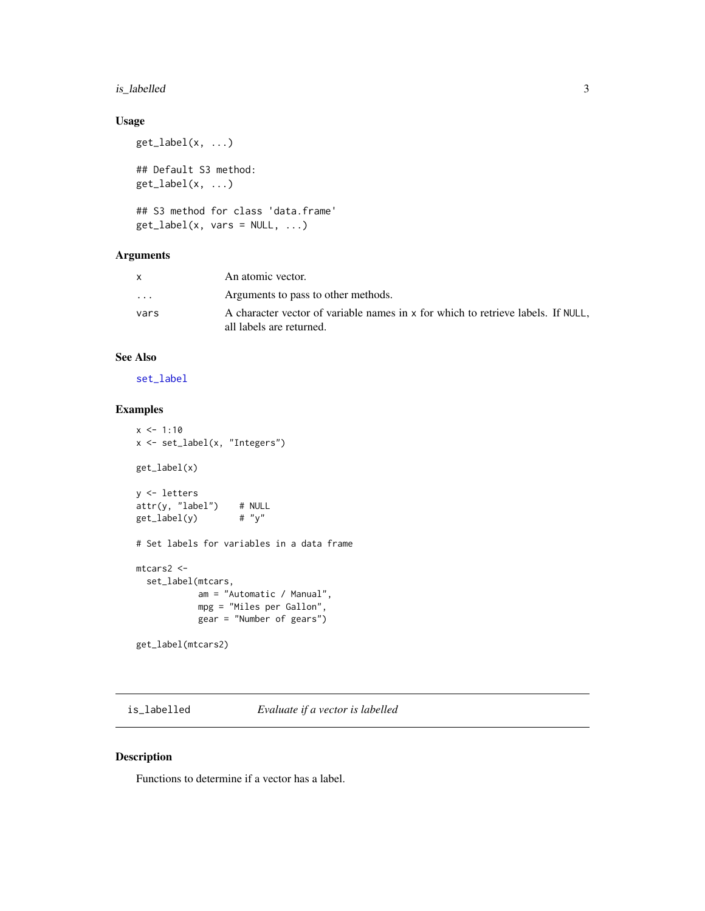#### <span id="page-2-0"></span>is\_labelled 3

#### Usage

```
get\_label(x, ...)## Default S3 method:
get_label(x, ...)
## S3 method for class 'data.frame'
get\_label(x, vars = NULL, ...)
```
#### Arguments

|                         | An atomic vector.                                                                                            |
|-------------------------|--------------------------------------------------------------------------------------------------------------|
| $\cdot$ $\cdot$ $\cdot$ | Arguments to pass to other methods.                                                                          |
| vars                    | A character vector of variable names in x for which to retrieve labels. If NULL,<br>all labels are returned. |

#### See Also

[set\\_label](#page-4-1)

#### Examples

```
x \le -1:10x <- set_label(x, "Integers")
get_label(x)
y <- letters
attr(y, "label") # NULL
get_label(y) # "y"
# Set labels for variables in a data frame
mtcars2 <-
  set_label(mtcars,
           am = "Automatic / Manual",
            mpg = "Miles per Gallon",
            gear = "Number of gears")
get_label(mtcars2)
```
is\_labelled *Evaluate if a vector is labelled*

#### Description

Functions to determine if a vector has a label.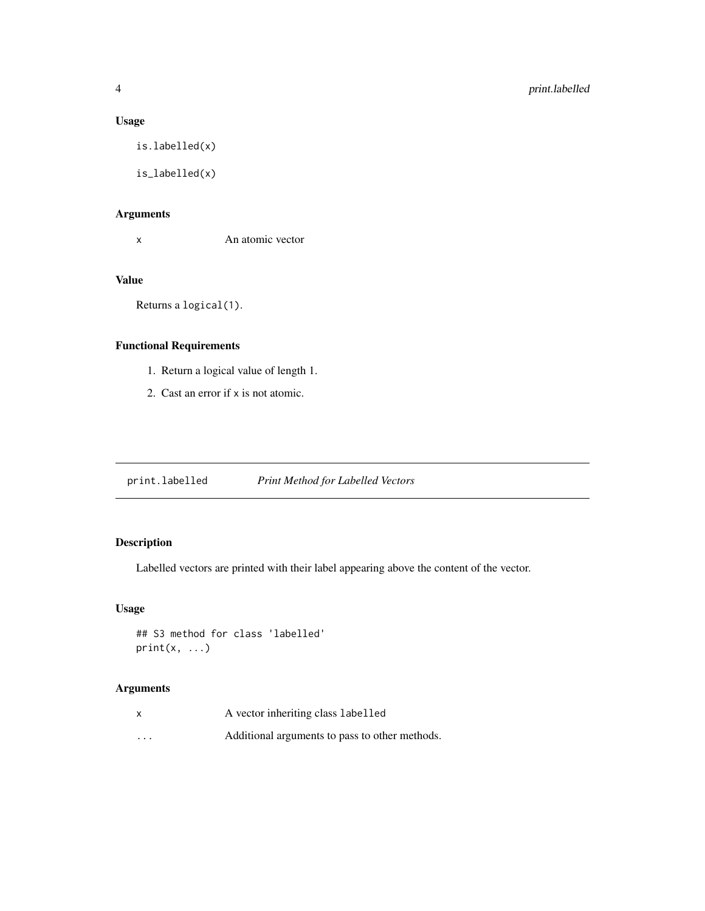#### Usage

is.labelled(x)

is\_labelled(x)

#### Arguments

x An atomic vector

#### Value

Returns a logical(1).

#### Functional Requirements

- 1. Return a logical value of length 1.
- 2. Cast an error if x is not atomic.

print.labelled *Print Method for Labelled Vectors*

#### Description

Labelled vectors are printed with their label appearing above the content of the vector.

#### Usage

```
## S3 method for class 'labelled'
print(x, \ldots)
```
#### Arguments

| X        | A vector inheriting class labelled             |
|----------|------------------------------------------------|
| $\cdots$ | Additional arguments to pass to other methods. |

<span id="page-3-0"></span>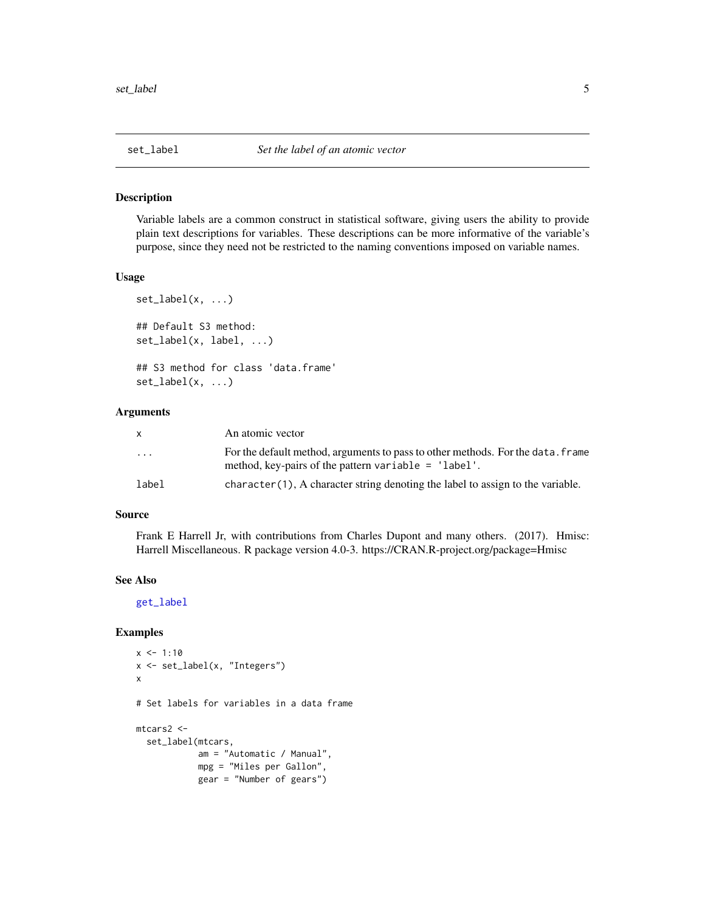<span id="page-4-1"></span><span id="page-4-0"></span>

#### Description

Variable labels are a common construct in statistical software, giving users the ability to provide plain text descriptions for variables. These descriptions can be more informative of the variable's purpose, since they need not be restricted to the naming conventions imposed on variable names.

#### Usage

```
set\_label(x, ...)## Default S3 method:
set_label(x, label, ...)
## S3 method for class 'data.frame'
set\_label(x, ...)
```
#### Arguments

| X                       | An atomic vector                                                                                                                          |
|-------------------------|-------------------------------------------------------------------------------------------------------------------------------------------|
| $\cdot$ $\cdot$ $\cdot$ | For the default method, arguments to pass to other methods. For the data, frame<br>method, key-pairs of the pattern variable $=$ 'label'. |
| label                   | $character(1)$ , A character string denoting the label to assign to the variable.                                                         |

#### Source

Frank E Harrell Jr, with contributions from Charles Dupont and many others. (2017). Hmisc: Harrell Miscellaneous. R package version 4.0-3. https://CRAN.R-project.org/package=Hmisc

#### See Also

[get\\_label](#page-1-1)

#### Examples

```
x \le -1:10x <- set_label(x, "Integers")
x
# Set labels for variables in a data frame
mtcars2 <-
  set_label(mtcars,
            am = "Automatic / Manual",
            mpg = "Miles per Gallon",
            gear = "Number of gears")
```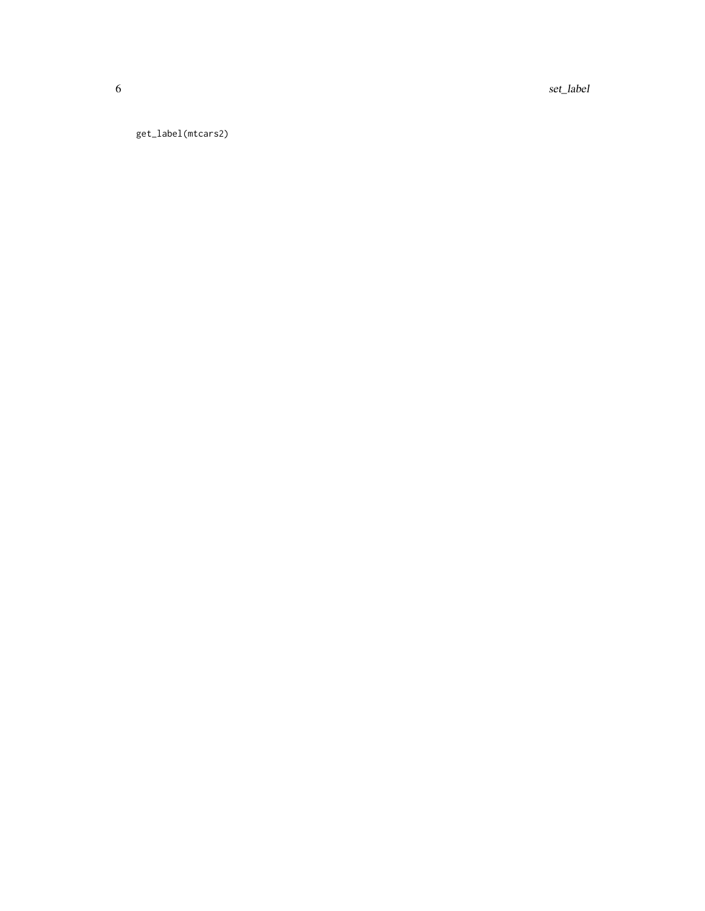6 set\_label set\_label set\_label set\_label set\_label set\_label set\_label set\_label set\_label set\_label set\_label

get\_label(mtcars2)